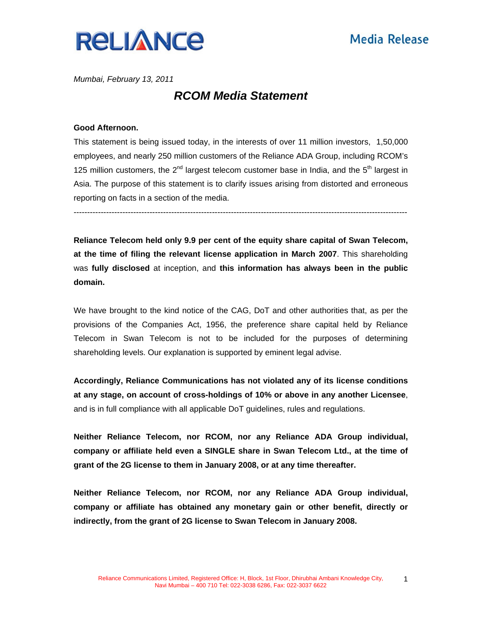

*Mumbai, February 13, 2011*

## *RCOM Media Statement*

### **Good Afternoon.**

This statement is being issued today, in the interests of over 11 million investors, 1,50,000 employees, and nearly 250 million customers of the Reliance ADA Group, including RCOM's 125 million customers, the  $2^{nd}$  largest telecom customer base in India, and the  $5<sup>th</sup>$  largest in Asia. The purpose of this statement is to clarify issues arising from distorted and erroneous reporting on facts in a section of the media.

---------------------------------------------------------------------------------------------------------------------------

**Reliance Telecom held only 9.9 per cent of the equity share capital of Swan Telecom, at the time of filing the relevant license application in March 2007**. This shareholding was **fully disclosed** at inception, and **this information has always been in the public domain.**

We have brought to the kind notice of the CAG, DoT and other authorities that, as per the provisions of the Companies Act, 1956, the preference share capital held by Reliance Telecom in Swan Telecom is not to be included for the purposes of determining shareholding levels. Our explanation is supported by eminent legal advise.

**Accordingly, Reliance Communications has not violated any of its license conditions at any stage, on account of cross-holdings of 10% or above in any another Licensee**, and is in full compliance with all applicable DoT guidelines, rules and regulations.

**Neither Reliance Telecom, nor RCOM, nor any Reliance ADA Group individual, company or affiliate held even a SINGLE share in Swan Telecom Ltd., at the time of grant of the 2G license to them in January 2008, or at any time thereafter.** 

**Neither Reliance Telecom, nor RCOM, nor any Reliance ADA Group individual, company or affiliate has obtained any monetary gain or other benefit, directly or indirectly, from the grant of 2G license to Swan Telecom in January 2008.** 

1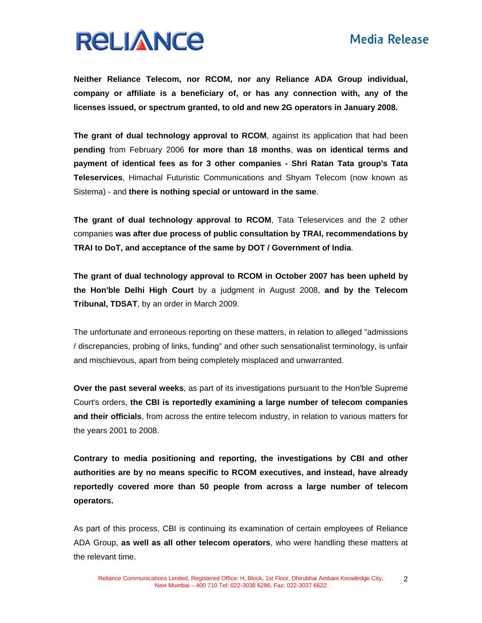

**Neither Reliance Telecom, nor RCOM, nor any Reliance ADA Group individual, company or affiliate is a beneficiary of, or has any connection with, any of the licenses issued, or spectrum granted, to old and new 2G operators in January 2008.** 

**The grant of dual technology approval to RCOM**, against its application that had been **pending** from February 2006 **for more than 18 months**, **was on identical terms and payment of identical fees as for 3 other companies - Shri Ratan Tata group's Tata Teleservices**, Himachal Futuristic Communications and Shyam Telecom (now known as Sistema) - and **there is nothing special or untoward in the same**.

**The grant of dual technology approval to RCOM**, Tata Teleservices and the 2 other companies **was after due process of public consultation by TRAI, recommendations by TRAI to DoT, and acceptance of the same by DOT / Government of India**.

**The grant of dual technology approval to RCOM in October 2007 has been upheld by the Hon'ble Delhi High Court** by a judgment in August 2008, **and by the Telecom Tribunal, TDSAT**, by an order in March 2009.

The unfortunate and erroneous reporting on these matters, in relation to alleged "admissions / discrepancies, probing of links, funding" and other such sensationalist terminology, is unfair and mischievous, apart from being completely misplaced and unwarranted.

**Over the past several weeks**, as part of its investigations pursuant to the Hon'ble Supreme Court's orders, **the CBI is reportedly examining a large number of telecom companies and their officials**, from across the entire telecom industry, in relation to various matters for the years 2001 to 2008.

**Contrary to media positioning and reporting, the investigations by CBI and other authorities are by no means specific to RCOM executives, and instead, have already reportedly covered more than 50 people from across a large number of telecom operators.** 

As part of this process, CBI is continuing its examination of certain employees of Reliance ADA Group, **as well as all other telecom operators**, who were handling these matters at the relevant time.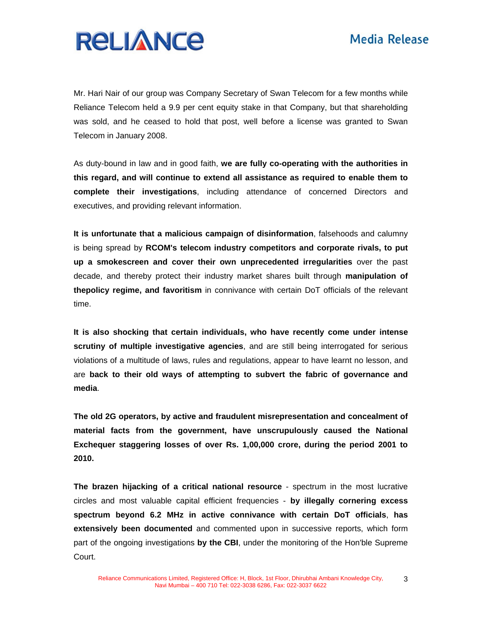

Mr. Hari Nair of our group was Company Secretary of Swan Telecom for a few months while Reliance Telecom held a 9.9 per cent equity stake in that Company, but that shareholding was sold, and he ceased to hold that post, well before a license was granted to Swan Telecom in January 2008.

As duty-bound in law and in good faith, **we are fully co-operating with the authorities in this regard, and will continue to extend all assistance as required to enable them to complete their investigations**, including attendance of concerned Directors and executives, and providing relevant information.

**It is unfortunate that a malicious campaign of disinformation**, falsehoods and calumny is being spread by **RCOM's telecom industry competitors and corporate rivals, to put up a smokescreen and cover their own unprecedented irregularities** over the past decade, and thereby protect their industry market shares built through **manipulation of thepolicy regime, and favoritism** in connivance with certain DoT officials of the relevant time.

**It is also shocking that certain individuals, who have recently come under intense scrutiny of multiple investigative agencies**, and are still being interrogated for serious violations of a multitude of laws, rules and regulations, appear to have learnt no lesson, and are **back to their old ways of attempting to subvert the fabric of governance and media**.

**The old 2G operators, by active and fraudulent misrepresentation and concealment of material facts from the government, have unscrupulously caused the National Exchequer staggering losses of over Rs. 1,00,000 crore, during the period 2001 to 2010.** 

**The brazen hijacking of a critical national resource** - spectrum in the most lucrative circles and most valuable capital efficient frequencies - **by illegally cornering excess spectrum beyond 6.2 MHz in active connivance with certain DoT officials**, **has extensively been documented** and commented upon in successive reports, which form part of the ongoing investigations **by the CBI**, under the monitoring of the Hon'ble Supreme Court.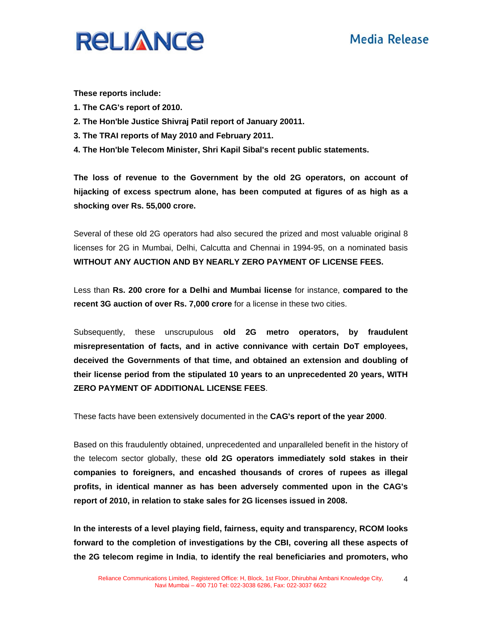# **Media Release**



**These reports include:** 

- **1. The CAG's report of 2010.**
- **2. The Hon'ble Justice Shivraj Patil report of January 20011.**
- **3. The TRAI reports of May 2010 and February 2011.**
- **4. The Hon'ble Telecom Minister, Shri Kapil Sibal's recent public statements.**

**The loss of revenue to the Government by the old 2G operators, on account of hijacking of excess spectrum alone, has been computed at figures of as high as a shocking over Rs. 55,000 crore.** 

Several of these old 2G operators had also secured the prized and most valuable original 8 licenses for 2G in Mumbai, Delhi, Calcutta and Chennai in 1994-95, on a nominated basis **WITHOUT ANY AUCTION AND BY NEARLY ZERO PAYMENT OF LICENSE FEES.** 

Less than **Rs. 200 crore for a Delhi and Mumbai license** for instance, **compared to the recent 3G auction of over Rs. 7,000 crore** for a license in these two cities.

Subsequently, these unscrupulous **old 2G metro operators, by fraudulent misrepresentation of facts, and in active connivance with certain DoT employees, deceived the Governments of that time, and obtained an extension and doubling of their license period from the stipulated 10 years to an unprecedented 20 years, WITH ZERO PAYMENT OF ADDITIONAL LICENSE FEES**.

These facts have been extensively documented in the **CAG's report of the year 2000**.

Based on this fraudulently obtained, unprecedented and unparalleled benefit in the history of the telecom sector globally, these **old 2G operators immediately sold stakes in their companies to foreigners, and encashed thousands of crores of rupees as illegal profits, in identical manner as has been adversely commented upon in the CAG's report of 2010, in relation to stake sales for 2G licenses issued in 2008.** 

**In the interests of a level playing field, fairness, equity and transparency, RCOM looks forward to the completion of investigations by the CBI, covering all these aspects of the 2G telecom regime in India**, **to identify the real beneficiaries and promoters, who** 

4